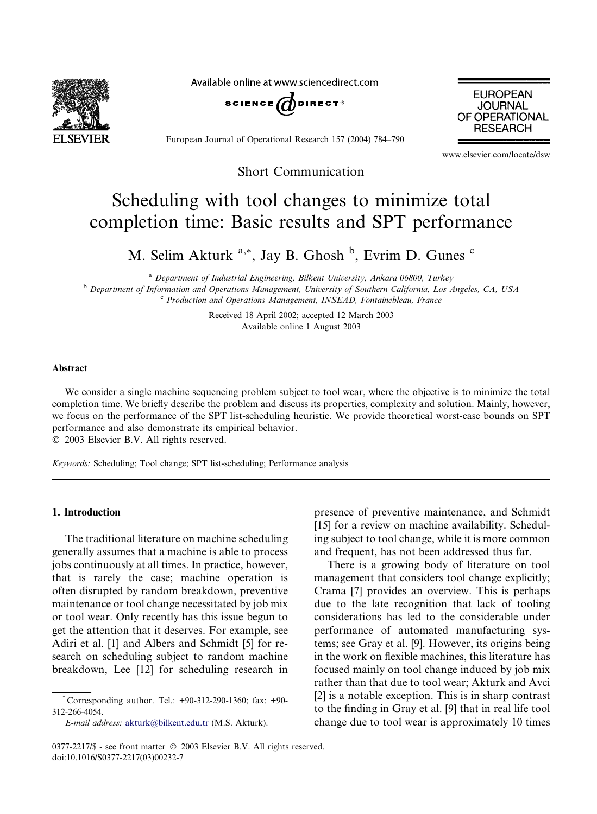

Available online at www.sciencedirect.com





European Journal of Operational Research 157 (2004) 784–790

www.elsevier.com/locate/dsw

Short Communication

# Scheduling with tool changes to minimize total completion time: Basic results and SPT performance

M. Selim Akturk <sup>a,\*</sup>, Jay B. Ghosh <sup>b</sup>, Evrim D. Gunes <sup>c</sup>

<sup>a</sup> Department of Industrial Engineering, Bilkent University, Ankara 06800, Turkey <sup>b</sup> Department of Information and Operations Management, University of Southern California, Los Angeles, CA, USA  $c$  Production and Operations Management, INSEAD, Fontainebleau, France

> Received 18 April 2002; accepted 12 March 2003 Available online 1 August 2003

#### Abstract

We consider a single machine sequencing problem subject to tool wear, where the objective is to minimize the total completion time. We briefly describe the problem and discuss its properties, complexity and solution. Mainly, however, we focus on the performance of the SPT list-scheduling heuristic. We provide theoretical worst-case bounds on SPT performance and also demonstrate its empirical behavior.

2003 Elsevier B.V. All rights reserved.

Keywords: Scheduling; Tool change; SPT list-scheduling; Performance analysis

### 1. Introduction

The traditional literature on machine scheduling generally assumes that a machine is able to process jobs continuously at all times. In practice, however, that is rarely the case; machine operation is often disrupted by random breakdown, preventive maintenance or tool change necessitated by job mix or tool wear. Only recently has this issue begun to get the attention that it deserves. For example, see Adiri et al. [1] and Albers and Schmidt [5] for research on scheduling subject to random machine breakdown, Lee [12] for scheduling research in presence of preventive maintenance, and Schmidt [15] for a review on machine availability. Scheduling subject to tool change, while it is more common and frequent, has not been addressed thus far.

There is a growing body of literature on tool management that considers tool change explicitly; Crama [7] provides an overview. This is perhaps due to the late recognition that lack of tooling considerations has led to the considerable under performance of automated manufacturing systems; see Gray et al. [9]. However, its origins being in the work on flexible machines, this literature has focused mainly on tool change induced by job mix rather than that due to tool wear; Akturk and Avci [2] is a notable exception. This is in sharp contrast to the finding in Gray et al. [9] that in real life tool change due to tool wear is approximately 10 times

Corresponding author. Tel.: +90-312-290-1360; fax: +90-312-266-4054.

E-mail address: [akturk@bilkent.edu.tr](mail to: akturk@bilkent.edu.tr) (M.S. Akturk).

<sup>0377-2217/\$ -</sup> see front matter © 2003 Elsevier B.V. All rights reserved. doi:10.1016/S0377-2217(03)00232-7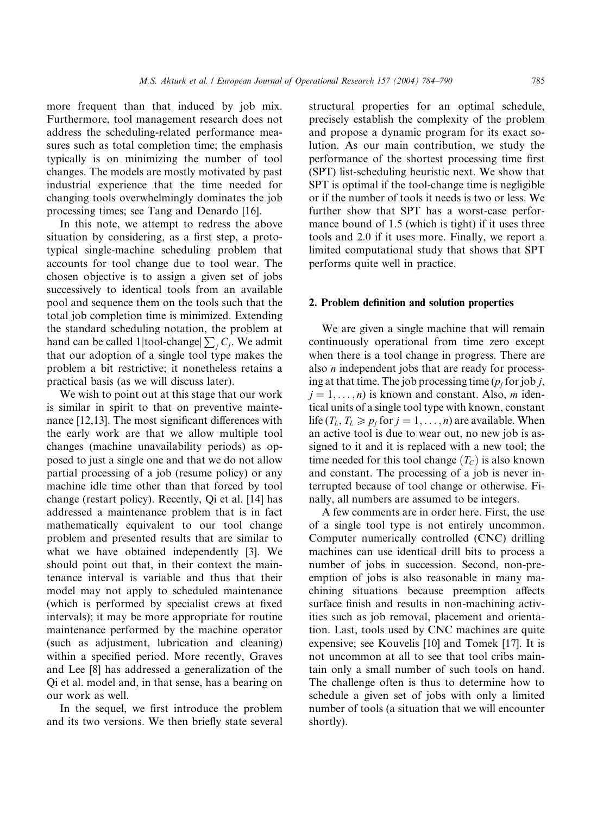more frequent than that induced by job mix. Furthermore, tool management research does not address the scheduling-related performance measures such as total completion time; the emphasis typically is on minimizing the number of tool changes. The models are mostly motivated by past industrial experience that the time needed for changing tools overwhelmingly dominates the job processing times; see Tang and Denardo [16].

In this note, we attempt to redress the above situation by considering, as a first step, a prototypical single-machine scheduling problem that accounts for tool change due to tool wear. The chosen objective is to assign a given set of jobs successively to identical tools from an available pool and sequence them on the tools such that the total job completion time is minimized. Extending the standard scheduling notation, the problem at hand can be called 1|tool-change|  $\sum_j C_j$ . We admit that our adoption of a single tool type makes the problem a bit restrictive; it nonetheless retains a practical basis (as we will discuss later).

We wish to point out at this stage that our work is similar in spirit to that on preventive maintenance [12,13]. The most significant differences with the early work are that we allow multiple tool changes (machine unavailability periods) as opposed to just a single one and that we do not allow partial processing of a job (resume policy) or any machine idle time other than that forced by tool change (restart policy). Recently, Qi et al. [14] has addressed a maintenance problem that is in fact mathematically equivalent to our tool change problem and presented results that are similar to what we have obtained independently [3]. We should point out that, in their context the maintenance interval is variable and thus that their model may not apply to scheduled maintenance (which is performed by specialist crews at fixed intervals); it may be more appropriate for routine maintenance performed by the machine operator (such as adjustment, lubrication and cleaning) within a specified period. More recently, Graves and Lee [8] has addressed a generalization of the Qi et al. model and, in that sense, has a bearing on our work as well.

In the sequel, we first introduce the problem and its two versions. We then briefly state several structural properties for an optimal schedule, precisely establish the complexity of the problem and propose a dynamic program for its exact solution. As our main contribution, we study the performance of the shortest processing time first (SPT) list-scheduling heuristic next. We show that SPT is optimal if the tool-change time is negligible or if the number of tools it needs is two or less. We further show that SPT has a worst-case performance bound of 1.5 (which is tight) if it uses three tools and 2.0 if it uses more. Finally, we report a limited computational study that shows that SPT performs quite well in practice.

#### 2. Problem definition and solution properties

We are given a single machine that will remain continuously operational from time zero except when there is a tool change in progress. There are also n independent jobs that are ready for processing at that time. The job processing time  $(p_i$  for job j,  $j = 1, \ldots, n$  is known and constant. Also, *m* identical units of a single tool type with known, constant life  $(T_L, T_L \geq p_j$  for  $j = 1, \ldots, n$ ) are available. When an active tool is due to wear out, no new job is assigned to it and it is replaced with a new tool; the time needed for this tool change  $(T_C)$  is also known and constant. The processing of a job is never interrupted because of tool change or otherwise. Finally, all numbers are assumed to be integers.

A few comments are in order here. First, the use of a single tool type is not entirely uncommon. Computer numerically controlled (CNC) drilling machines can use identical drill bits to process a number of jobs in succession. Second, non-preemption of jobs is also reasonable in many machining situations because preemption affects surface finish and results in non-machining activities such as job removal, placement and orientation. Last, tools used by CNC machines are quite expensive; see Kouvelis [10] and Tomek [17]. It is not uncommon at all to see that tool cribs maintain only a small number of such tools on hand. The challenge often is thus to determine how to schedule a given set of jobs with only a limited number of tools (a situation that we will encounter shortly).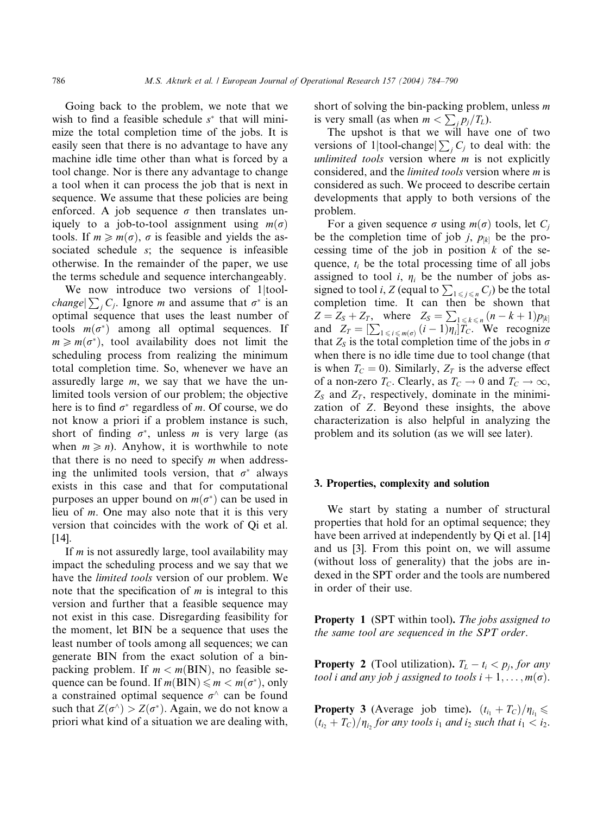Going back to the problem, we note that we wish to find a feasible schedule  $s^*$  that will minimize the total completion time of the jobs. It is easily seen that there is no advantage to have any machine idle time other than what is forced by a tool change. Nor is there any advantage to change a tool when it can process the job that is next in sequence. We assume that these policies are being enforced. A job sequence  $\sigma$  then translates uniquely to a job-to-tool assignment using  $m(\sigma)$ tools. If  $m \ge m(\sigma)$ ,  $\sigma$  is feasible and yields the associated schedule s; the sequence is infeasible otherwise. In the remainder of the paper, we use the terms schedule and sequence interchangeably.

We now introduce two versions of 1 | tool*change*  $\sum_j C_j$ . Ignore *m* and assume that  $\sigma^*$  is an optimal sequence that uses the least number of tools  $m(\sigma^*)$  among all optimal sequences. If  $m \geq m(\sigma^*)$ , tool availability does not limit the scheduling process from realizing the minimum total completion time. So, whenever we have an assuredly large  $m$ , we say that we have the unlimited tools version of our problem; the objective here is to find  $\sigma^*$  regardless of m. Of course, we do not know a priori if a problem instance is such, short of finding  $\sigma^*$ , unless *m* is very large (as when  $m \ge n$ ). Anyhow, it is worthwhile to note that there is no need to specify  $m$  when addressing the unlimited tools version, that  $\sigma^*$  always exists in this case and that for computational purposes an upper bound on  $m(\sigma^*)$  can be used in lieu of m. One may also note that it is this very version that coincides with the work of Qi et al.  $[14]$ .

If  $m$  is not assuredly large, tool availability may impact the scheduling process and we say that we have the limited tools version of our problem. We note that the specification of  $m$  is integral to this version and further that a feasible sequence may not exist in this case. Disregarding feasibility for the moment, let BIN be a sequence that uses the least number of tools among all sequences; we can generate BIN from the exact solution of a binpacking problem. If  $m < m(BIN)$ , no feasible sequence can be found. If  $m(BIN) \le m < m(\sigma^*)$ , only a constrained optimal sequence  $\sigma^{\wedge}$  can be found such that  $Z(\sigma^{\wedge}) > Z(\sigma^*)$ . Again, we do not know a priori what kind of a situation we are dealing with,

short of solving the bin-packing problem, unless  $m$ is very small (as when  $m < \sum_j p_j/T_L$ ).

The upshot is that we will have one of two versions of 1|tool-change| $\sum_j C_j$  to deal with: the unlimited tools version where *m* is not explicitly considered, and the limited tools version where m is considered as such. We proceed to describe certain developments that apply to both versions of the problem.

For a given sequence  $\sigma$  using  $m(\sigma)$  tools, let C<sub>i</sub> be the completion time of job j,  $p_{[k]}$  be the processing time of the job in position  $k$  of the sequence,  $t_i$  be the total processing time of all jobs assigned to tool i,  $\eta_i$  be the number of jobs assigned to tool *i*,  $Z$  (equal to  $\sum_{1 \le j \le n} C_j$ ) be the total completion time. It can then be shown that  $Z = Z_s + Z_T$ , where  $Z_s = \sum_{1 \le k \le n} (n - k + 1) p_{[k]}$ and  $Z_T = [\sum_{1 \le i \le m(\sigma)} (i-1)\eta_i]T_C$ . We recognize that  $Z_s$  is the total completion time of the jobs in  $\sigma$ when there is no idle time due to tool change (that is when  $T_c = 0$ ). Similarly,  $Z_T$  is the adverse effect of a non-zero  $T_C$ . Clearly, as  $T_C \to 0$  and  $T_C \to \infty$ ,  $Z_s$  and  $Z_T$ , respectively, dominate in the minimization of Z. Beyond these insights, the above characterization is also helpful in analyzing the problem and its solution (as we will see later).

## 3. Properties, complexity and solution

We start by stating a number of structural properties that hold for an optimal sequence; they have been arrived at independently by Qi et al. [14] and us [3]. From this point on, we will assume (without loss of generality) that the jobs are indexed in the SPT order and the tools are numbered in order of their use.

**Property 1** (SPT within tool). The jobs assigned to the same tool are sequenced in the SPT order.

**Property 2** (Tool utilization).  $T_L - t_i < p_i$ , for any tool i and any job j assigned to tools  $i + 1, \ldots, m(\sigma)$ .

**Property 3** (Average job time).  $(t_{i_1} + T_C)/\eta_{i_1} \leq$  $(t_{i}+T_{C})/\eta_{i}$  for any tools  $i_{1}$  and  $i_{2}$  such that  $i_{1} < i_{2}$ .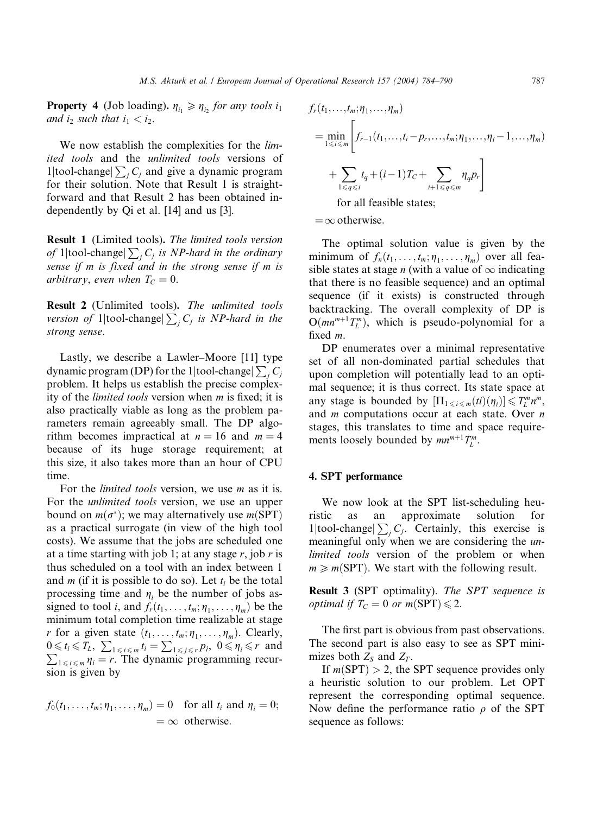**Property 4** (Job loading).  $\eta_{i_1} \geq \eta_{i_2}$  for any tools  $i_1$ and  $i_2$  such that  $i_1 < i_2$ .

We now establish the complexities for the *lim*ited tools and the unlimited tools versions of 1|tool-change| $\sum_j C_j$  and give a dynamic program for their solution. Note that Result 1 is straightforward and that Result 2 has been obtained independently by Qi et al. [14] and us [3].

Result 1 (Limited tools). The limited tools version of 1|tool-change|  $\sum_j C_j$  is NP-hard in the ordinary sense if m is fixed and in the strong sense if m is arbitrary, even when  $T_C = 0$ .

Result 2 (Unlimited tools). The unlimited tools version of 1 $|$ tool-change $| \sum_j C_j$  is NP-hard in the strong sense.

Lastly, we describe a Lawler–Moore [11] type dynamic program (DP) for the 1|tool-change $\sum_j C_j$ problem. It helps us establish the precise complexity of the limited tools version when m is fixed; it is also practically viable as long as the problem parameters remain agreeably small. The DP algorithm becomes impractical at  $n = 16$  and  $m = 4$ because of its huge storage requirement; at this size, it also takes more than an hour of CPU time.

For the *limited tools* version, we use *m* as it is. For the unlimited tools version, we use an upper bound on  $m(\sigma^*)$ ; we may alternatively use  $m(SPT)$ as a practical surrogate (in view of the high tool costs). We assume that the jobs are scheduled one at a time starting with job 1; at any stage  $r$ , job  $r$  is thus scheduled on a tool with an index between 1 and *m* (if it is possible to do so). Let  $t_i$  be the total processing time and  $\eta_i$  be the number of jobs assigned to tool *i*, and  $f_r(t_1, \ldots, t_m; \eta_1, \ldots, \eta_m)$  be the minimum total completion time realizable at stage r for a given state  $(t_1, \ldots, t_m; \eta_1, \ldots, \eta_m)$ . Clearly,  $0 \le t_i \le T_L$ ,  $\sum_{1 \le i \le m} t_i = \sum_{1 \le j \le r} p_j$ ,  $0 \le \eta_i \le r$  and  $\sum_{1 \leq i \leq m} q_i = r$ . The dynamic programming recursion is given by

$$
f_0(t_1,\ldots,t_m;\eta_1,\ldots,\eta_m)=0 \text{ for all } t_i \text{ and } \eta_i=0; =\infty \text{ otherwise.}
$$

$$
f_r(t_1,\ldots,t_m;\eta_1,\ldots,\eta_m)
$$
  
= 
$$
\min_{1\leq i\leq m} \left[ f_{r-1}(t_1,\ldots,t_i-p_r,\ldots,t_m;\eta_1,\ldots,\eta_i-1,\ldots,\eta_m) \right.
$$
  
+ 
$$
\sum_{1\leq q\leq i} t_q + (i-1)T_C + \sum_{i+1\leq q\leq m} \eta_q p_r \right]
$$
  
for all feasible states;

 $=\infty$  otherwise.

The optimal solution value is given by the minimum of  $f_n(t_1, \ldots, t_m; \eta_1, \ldots, \eta_m)$  over all feasible states at stage *n* (with a value of  $\infty$  indicating that there is no feasible sequence) and an optimal sequence (if it exists) is constructed through backtracking. The overall complexity of DP is  $O(mn^{m+1}T_L^m)$ , which is pseudo-polynomial for a fixed m.

DP enumerates over a minimal representative set of all non-dominated partial schedules that upon completion will potentially lead to an optimal sequence; it is thus correct. Its state space at any stage is bounded by  $[\Pi_{1 \le i \le m}(ti)(\eta_i)] \le T_L^m n^m$ , and  $m$  computations occur at each state. Over  $n$ stages, this translates to time and space requirements loosely bounded by  $mn^{m+1}T_L^m$ .

# 4. SPT performance

We now look at the SPT list-scheduling heuristic as an approximate solution for 1|tool-change| $\sum_j C_j$ . Certainly, this exercise is meaningful only when we are considering the unlimited tools version of the problem or when  $m \ge m(SPT)$ . We start with the following result.

Result 3 (SPT optimality). The SPT sequence is *optimal if*  $T_c = 0$  *or m*(SPT)  $\leq 2$ .

The first part is obvious from past observations. The second part is also easy to see as SPT minimizes both  $Z_S$  and  $Z_T$ .

If  $m(SPT) > 2$ , the SPT sequence provides only a heuristic solution to our problem. Let OPT represent the corresponding optimal sequence. Now define the performance ratio  $\rho$  of the SPT sequence as follows: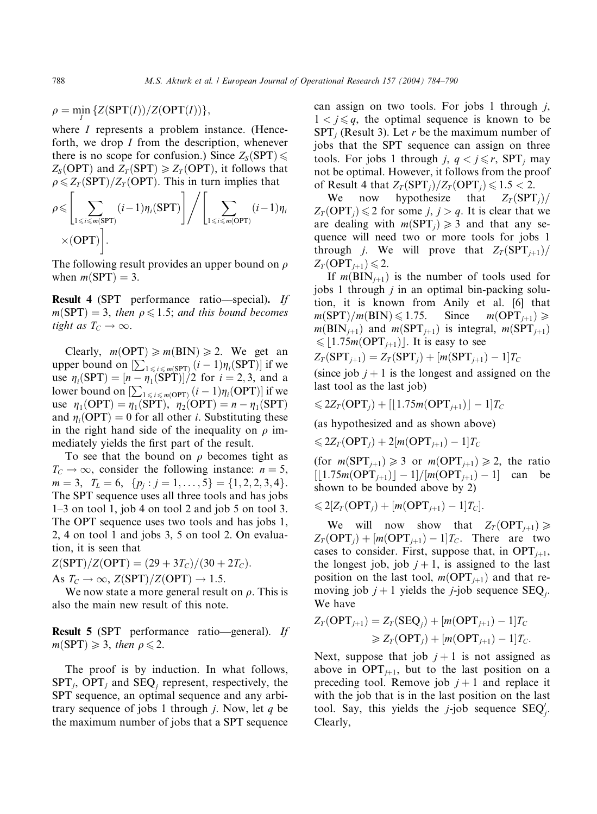$\rho = \min_{I} \{Z(SPT(I))/Z(OPT(I))\},\$ 

where *I* represents a problem instance. (Henceforth, we drop I from the description, whenever there is no scope for confusion.) Since  $Z_S(SPT)$  $Z_S(OPT)$  and  $Z_T(SPT) \ge Z_T(OPT)$ , it follows that  $\rho \leq Z_T(\text{SPT})/Z_T(\text{OPT})$ . This in turn implies that

$$
\rho \leqslant \left[ \sum_{1 \leqslant i \leqslant m(\text{SPT})} (i-1) \eta_i(\text{SPT}) \right] / \left[ \sum_{1 \leqslant i \leqslant m(\text{OPT})} (i-1) \eta_i \right] \times (\text{OPT}) \right].
$$

The following result provides an upper bound on  $\rho$ when  $m(SPT) = 3$ .

Result 4 (SPT performance ratio-special). If  $m(SPT) = 3$ , then  $\rho \leq 1.5$ ; and this bound becomes tight as  $T_C \rightarrow \infty$ .

Clearly,  $m(OPT) \ge m(BIN) \ge 2$ . We get an upper bound on  $[\sum_{1 \le i \le m(SPT)} (i-1)\eta_i(SPT)]$  if we use  $\eta_i(SPT) = [n - \eta_1(SPT)]/2$  for  $i = 2, 3$ , and a lower bound on  $\left[\sum_{1 \le i \le m(\text{OPT})} (i-1)\eta_i(\text{OPT})\right]$  if we use  $\eta_1(\text{OPT}) = \eta_1(\text{SPT})$ ,  $\eta_2(\text{OPT}) = n - \eta_1(\text{SPT})$ and  $\eta_i(OPT) = 0$  for all other *i*. Substituting these in the right hand side of the inequality on  $\rho$  immediately yields the first part of the result.

To see that the bound on  $\rho$  becomes tight as  $T_c \rightarrow \infty$ , consider the following instance:  $n = 5$ ,  $m = 3, T_L = 6, \{p_j : j = 1, \ldots, 5\} = \{1, 2, 2, 3, 4\}.$ The SPT sequence uses all three tools and has jobs 1–3 on tool 1, job 4 on tool 2 and job 5 on tool 3. The OPT sequence uses two tools and has jobs 1, 2, 4 on tool 1 and jobs 3, 5 on tool 2. On evaluation, it is seen that

 $Z(SPT)/Z(OPT) = (29 + 3T_C)/(30 + 2T_C)$ .

As  $T_C \rightarrow \infty$ ,  $Z(SPT)/Z(OPT) \rightarrow 1.5$ .

We now state a more general result on  $\rho$ . This is also the main new result of this note.

Result 5 (SPT performance ratio––general). If  $m(SPT) \geq 3$ , then  $\rho \leq 2$ .

The proof is by induction. In what follows,  $SPT_i$ , OPT<sub>i</sub> and  $SEQ_i$  represent, respectively, the SPT sequence, an optimal sequence and any arbitrary sequence of jobs 1 through *j*. Now, let  $q$  be the maximum number of jobs that a SPT sequence can assign on two tools. For jobs 1 through  $j$ ,  $1 < j \leq q$ , the optimal sequence is known to be  $SPT_i$  (Result 3). Let r be the maximum number of jobs that the SPT sequence can assign on three tools. For jobs 1 through *j*,  $q < j \leq r$ , SPT, may not be optimal. However, it follows from the proof of Result 4 that  $Z_T(SPT_i)/Z_T(OPT_i) \leq 1.5 < 2$ .

We now hypothesize that  $Z_T(\text{SPT}_i)$  $Z_T(\text{OPT}_j) \leq 2$  for some j,  $j > q$ . It is clear that we are dealing with  $m(SPT_i) \geq 3$  and that any sequence will need two or more tools for jobs 1 through *j*. We will prove that  $Z_T(\text{SPT}_{i+1})/$  $Z_T(OPT_{i+1}) \leq 2$ .

If  $m(BIN_{i+1})$  is the number of tools used for jobs 1 through  $j$  in an optimal bin-packing solution, it is known from Anily et al. [6] that  $m(SPT)/m(BIN) \leq 1.75.$  Since  $m(OPT_{i+1}) \geq$  $m(\text{BIN}_{i+1})$  and  $m(\text{SPT}_{i+1})$  is integral,  $m(\text{SPT}_{i+1})$  $\leqslant$  | 1.75m(OPT<sub>i+1</sub>) |. It is easy to see

$$
Z_T(\text{SPT}_{j+1}) = Z_T(\text{SPT}_j) + [m(\text{SPT}_{j+1}) - 1]T_C
$$

(since job  $j + 1$  is the longest and assigned on the last tool as the last job)

$$
\leqslant 2Z_T(\mathbf{OPT}_j) + \left[\lfloor 1.75m(\mathbf{OPT}_{j+1})\rfloor - 1\right]T_C
$$

(as hypothesized and as shown above)

 $\leqslant 2Z_T(\text{OPT}_j) + 2[m(\text{OPT}_{j+1})-1]T_C$ 

(for  $m(SPT_{i+1}) \geq 3$  or  $m(OPT_{i+1}) \geq 2$ , the ratio  $[1.75m(OPT_{j+1})] - 1]/[m(OPT_{j+1}) - 1]$  can be shown to be bounded above by 2)

$$
\leq 2[Z_T(OPT_j) + [m(OPT_{j+1}) - 1]T_C].
$$

We will now show that  $Z_T(\text{OPT}_{j+1}) \geq$  $Z_T(\text{OPT}_j) + [m(\text{OPT}_{j+1}) - 1]T_C$ . There are two cases to consider. First, suppose that, in  $OPT_{j+1}$ , the longest job, job  $j + 1$ , is assigned to the last position on the last tool,  $m(OPT_{j+1})$  and that removing job  $j + 1$  yields the j-job sequence SEQ. We have

$$
Z_T(\text{OPT}_{j+1}) = Z_T(\text{SEQ}_j) + [m(\text{OPT}_{j+1}) - 1]T_C
$$
  
\n
$$
\ge Z_T(\text{OPT}_j) + [m(\text{OPT}_{j+1}) - 1]T_C.
$$

Next, suppose that job  $j + 1$  is not assigned as above in  $OPT_{i+1}$ , but to the last position on a preceding tool. Remove job  $j + 1$  and replace it with the job that is in the last position on the last tool. Say, this yields the *j*-job sequence  $SEQ'_{j}$ . Clearly,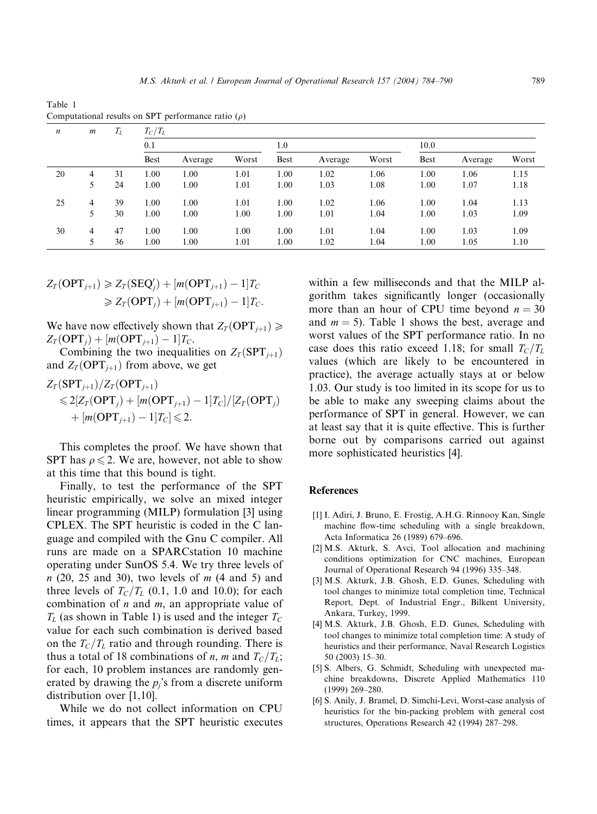Table 1 Computational results on SPT performance ratio  $(\rho)$ 

| $\boldsymbol{n}$ | $\boldsymbol{m}$ | $T_L$ | $T_C/T_L$   |         |       |             |         |       |             |         |       |
|------------------|------------------|-------|-------------|---------|-------|-------------|---------|-------|-------------|---------|-------|
|                  |                  |       | 0.1         |         |       | 1.0         |         |       | 10.0        |         |       |
|                  |                  |       | <b>Best</b> | Average | Worst | <b>Best</b> | Average | Worst | <b>Best</b> | Average | Worst |
| 20               | 4                | 31    | 1.00        | 1.00    | 1.01  | 1.00        | 1.02    | 1.06  | 1.00        | 1.06    | 1.15  |
|                  |                  | 24    | 1.00        | 1.00    | 1.01  | 1.00        | 1.03    | 1.08  | 1.00        | 1.07    | 1.18  |
| 25               | 4                | 39    | 1.00        | 1.00    | 1.01  | 1.00        | 1.02    | 1.06  | 1.00        | 1.04    | 1.13  |
|                  |                  | 30    | 1.00        | 1.00    | 1.00  | 1.00        | 1.01    | 1.04  | 1.00        | 1.03    | 1.09  |
| 30               | 4                | 47    | 1.00        | 1.00    | 1.00  | 1.00        | 1.01    | 1.04  | 1.00        | 1.03    | 1.09  |
|                  | 5                | 36    | 1.00        | 1.00    | 1.01  | 1.00        | 1.02    | 1.04  | 1.00        | 1.05    | 1.10  |

$$
Z_T(\text{OPT}_{j+1}) \ge Z_T(\text{SEQ}_j') + [m(\text{OPT}_{j+1}) - 1]T_C
$$
  
\n
$$
\ge Z_T(\text{OPT}_j) + [m(\text{OPT}_{j+1}) - 1]T_C.
$$

We have now effectively shown that  $Z_T(OPT_{i+1}) \geq$  $Z_T(\text{OPT}_j) + [m(\text{OPT}_{j+1}) - 1]T_C.$ 

Combining the two inequalities on  $Z_T(\text{SPT}_{j+1})$ and  $Z_T(OPT_{i+1})$  from above, we get

$$
Z_T(\text{SPT}_{j+1})/Z_T(\text{OPT}_{j+1})
$$
  
\n
$$
\leq 2[Z_T(\text{OPT}_j) + [m(\text{OPT}_{j+1}) - 1]T_C]/[Z_T(\text{OPT}_j)
$$
  
\n
$$
+ [m(\text{OPT}_{j+1}) - 1]T_C] \leq 2.
$$

This completes the proof. We have shown that SPT has  $\rho \le 2$ . We are, however, not able to show at this time that this bound is tight.

Finally, to test the performance of the SPT heuristic empirically, we solve an mixed integer linear programming (MILP) formulation [3] using CPLEX. The SPT heuristic is coded in the C language and compiled with the Gnu C compiler. All runs are made on a SPARCstation 10 machine operating under SunOS 5.4. We try three levels of  $n$  (20, 25 and 30), two levels of  $m$  (4 and 5) and three levels of  $T_c/T_L$  (0.1, 1.0 and 10.0); for each combination of  $n$  and  $m$ , an appropriate value of  $T_L$  (as shown in Table 1) is used and the integer  $T_C$ value for each such combination is derived based on the  $T_c/T_L$  ratio and through rounding. There is thus a total of 18 combinations of n, m and  $T_c/T_L$ ; for each, 10 problem instances are randomly generated by drawing the  $p_i$ 's from a discrete uniform distribution over [1,10].

While we do not collect information on CPU times, it appears that the SPT heuristic executes within a few milliseconds and that the MILP algorithm takes significantly longer (occasionally more than an hour of CPU time beyond  $n = 30$ and  $m = 5$ ). Table 1 shows the best, average and worst values of the SPT performance ratio. In no case does this ratio exceed 1.18; for small  $T_c/T_L$ values (which are likely to be encountered in practice), the average actually stays at or below 1.03. Our study is too limited in its scope for us to be able to make any sweeping claims about the performance of SPT in general. However, we can at least say that it is quite effective. This is further borne out by comparisons carried out against more sophisticated heuristics [4].

# References

- [1] I. Adiri, J. Bruno, E. Frostig, A.H.G. Rinnooy Kan, Single machine flow-time scheduling with a single breakdown, Acta Informatica 26 (1989) 679–696.
- [2] M.S. Akturk, S. Avci, Tool allocation and machining conditions optimization for CNC machines, European Journal of Operational Research 94 (1996) 335–348.
- [3] M.S. Akturk, J.B. Ghosh, E.D. Gunes, Scheduling with tool changes to minimize total completion time, Technical Report, Dept. of Industrial Engr., Bilkent University, Ankara, Turkey, 1999.
- [4] M.S. Akturk, J.B. Ghosh, E.D. Gunes, Scheduling with tool changes to minimize total completion time: A study of heuristics and their performance, Naval Research Logistics 50 (2003) 15–30.
- [5] S. Albers, G. Schmidt, Scheduling with unexpected machine breakdowns, Discrete Applied Mathematics 110 (1999) 269–280.
- [6] S. Anily, J. Bramel, D. Simchi-Levi, Worst-case analysis of heuristics for the bin-packing problem with general cost structures, Operations Research 42 (1994) 287–298.